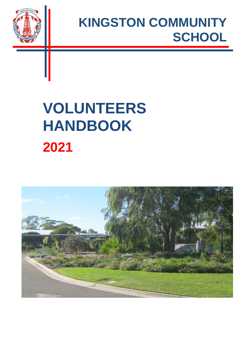

## **KINGSTON COMMUNITY SCHOOL**

# **VOLUNTEERS HANDBOOK 2021**

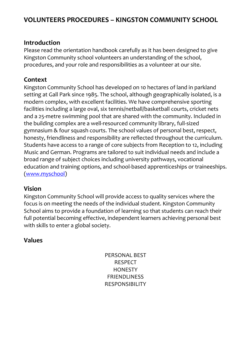### **VOLUNTEERS PROCEDURES – KINGSTON COMMUNITY SCHOOL**

#### **Introduction**

Please read the orientation handbook carefully as it has been designed to give Kingston Community school volunteers an understanding of the school, procedures, and your role and responsibilities as a volunteer at our site.

#### **Context**

Kingston Community School has developed on 10 hectares of land in parkland setting at Gall Park since 1985. The school, although geographically isolated, is a modern complex, with excellent facilities. We have comprehensive sporting facilities including a large oval, six tennis/netball/basketball courts, cricket nets and a 25-metre swimming pool that are shared with the community. Included in the building complex are a well-resourced community library, full-sized gymnasium & four squash courts. The school values of personal best, respect, honesty, friendliness and responsibility are reflected throughout the curriculum. Students have access to a range of core subjects from Reception to 12, including Music and German. Programs are tailored to suit individual needs and include a broad range of subject choices including university pathways, vocational education and training options, and school-based apprenticeships or traineeships. [\(www.myschool\)](http://www.myschool/)

#### **Vision**

Kingston Community School will provide access to quality services where the focus is on meeting the needs of the individual student. Kingston Community School aims to provide a foundation of learning so that students can reach their full potential becoming effective, independent learners achieving personal best with skills to enter a global society.

#### **Values**

PERSONAL BEST RESPECT **HONESTY** FRIENDLINESS RESPONSIBILITY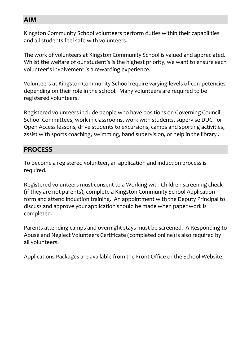#### **AIM**

Kingston Community School volunteers perform duties within their capabilities and all students feel safe with volunteers.

The work of volunteers at Kingston Community School is valued and appreciated. Whilst the welfare of our student's is the highest priority, we want to ensure each volunteer's involvement is a rewarding experience.

Volunteers at Kingston Community School require varying levels of competencies depending on their role in the school. Many volunteers are required to be registered volunteers.

Registered volunteers include people who have positions on Governing Council, School Committees, work in classrooms, work with students, supervise DUCT or Open Access lessons, drive students to excursions, camps and sporting activities, assist with sports coaching, swimming, band supervision, or help in the library .

## **PROCESS**

To become a registered volunteer, an application and induction process is required.

Registered volunteers must consent to a Working with Children screening check (if they are not parents), complete a Kingston Community School Application form and attend induction training. An appointment with the Deputy Principal to discuss and approve your application should be made when paper work is completed.

Parents attending camps and overnight stays must be screened. A Responding to Abuse and Neglect Volunteers Certificate (completed online) is also required by all volunteers.

Applications Packages are available from the Front Office or the School Website.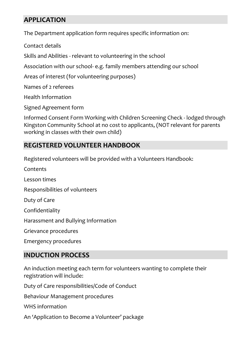### **APPLICATION**

The Department application form requires specific information on:

Contact details

Skills and Abilities - relevant to volunteering in the school

Association with our school- e.g. family members attending our school

Areas of interest (for volunteering purposes)

Names of 2 referees

Health Information

Signed Agreement form

Informed Consent Form Working with Children Screening Check - lodged through Kingston Community School at no cost to applicants, (NOT relevant for parents working in classes with their own child)

#### **REGISTERED VOLUNTEER HANDBOOK**

Registered volunteers will be provided with a Volunteers Handbook:

Contents Lesson times Responsibilities of volunteers Duty of Care Confidentiality Harassment and Bullying Information Grievance procedures Emergency procedures

### **INDUCTION PROCESS**

An induction meeting each term for volunteers wanting to complete their registration will include:

Duty of Care responsibilities/Code of Conduct

Behaviour Management procedures

WHS information

An 'Application to Become a Volunteer' package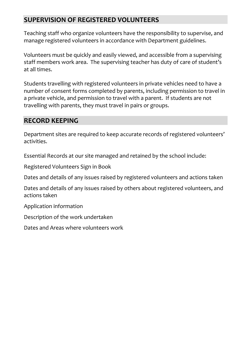### **SUPERVISION OF REGISTERED VOLUNTEERS**

Teaching staff who organize volunteers have the responsibility to supervise, and manage registered volunteers in accordance with Department guidelines.

Volunteers must be quickly and easily viewed, and accessible from a supervising staff members work area. The supervising teacher has duty of care of student's at all times.

Students travelling with registered volunteers in private vehicles need to have a number of consent forms completed by parents, including permission to travel in a private vehicle, and permission to travel with a parent. If students are not travelling with parents, they must travel in pairs or groups.

#### **RECORD KEEPING**

Department sites are required to keep accurate records of registered volunteers' activities.

Essential Records at our site managed and retained by the school include:

Registered Volunteers Sign in Book

Dates and details of any issues raised by registered volunteers and actions taken

Dates and details of any issues raised by others about registered volunteers, and actions taken

Application information

Description of the work undertaken

Dates and Areas where volunteers work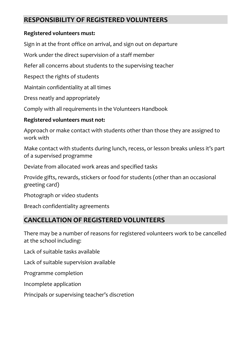### **RESPONSIBILITY OF REGISTERED VOLUNTEERS**

#### **Registered volunteers must:**

Sign in at the front office on arrival, and sign out on departure

Work under the direct supervision of a staff member

Refer all concerns about students to the supervising teacher

Respect the rights of students

Maintain confidentiality at all times

Dress neatly and appropriately

Comply with all requirements in the Volunteers Handbook

#### **Registered volunteers must not:**

Approach or make contact with students other than those they are assigned to work with

Make contact with students during lunch, recess, or lesson breaks unless it's part of a supervised programme

Deviate from allocated work areas and specified tasks

Provide gifts, rewards, stickers or food for students (other than an occasional greeting card)

Photograph or video students

Breach confidentiality agreements

## **CANCELLATION OF REGISTERED VOLUNTEERS**

There may be a number of reasons for registered volunteers work to be cancelled at the school including:

Lack of suitable tasks available

Lack of suitable supervision available

Programme completion

Incomplete application

Principals or supervising teacher's discretion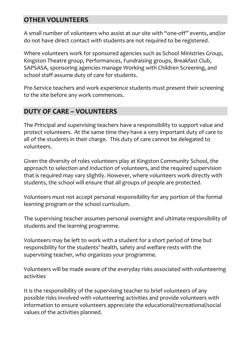#### **OTHER VOLUNTEERS**

A small number of volunteers who assist at our site with "one-off" events, and/or do not have direct contact with students are not required to be registered.

Where volunteers work for sponsored agencies such as School Ministries Group, Kingston Theatre group, Performances, Fundraising groups, Breakfast Club, SAPSASA, sponsoring agencies manage Working with Children Screening, and school staff assume duty of care for students.

Pre-Service teachers and work experience students must present their screening to the site before any work commences.

### **DUTY OF CARE – VOLUNTEERS**

The Principal and supervising teachers have a responsibility to support value and protect volunteers. At the same time they have a very important duty of care to all of the students in their charge. This duty of care cannot be delegated to volunteers.

Given the diversity of roles volunteers play at Kingston Community School, the approach to selection and induction of volunteers, and the required supervision that is required may vary slightly. However, where volunteers work directly with students, the school will ensure that all groups of people are protected.

Volunteers must not accept personal responsibility for any portion of the formal learning program or the school curriculum.

The supervising teacher assumes personal oversight and ultimate responsibility of students and the learning programme.

Volunteers may be left to work with a student for a short period of time but responsibility for the students' health, safety and welfare rests with the supervising teacher, who organizes your programme.

Volunteers will be made aware of the everyday risks associated with volunteering activities

It is the responsibility of the supervising teacher to brief volunteers of any possible risks involved with volunteering activities and provide volunteers with information to ensure volunteers appreciate the educational/recreational/social values of the activities planned.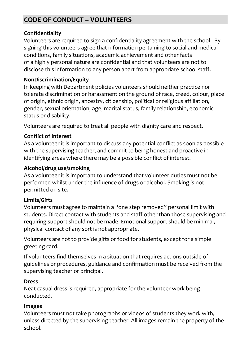## **CODE OF CONDUCT – VOLUNTEERS**

#### **Confidentiality**

Volunteers are required to sign a confidentiality agreement with the school. By signing this volunteers agree that information pertaining to social and medical conditions, family situations, academic achievement and other facts of a highly personal nature are confidential and that volunteers are not to disclose this information to any person apart from appropriate school staff.

#### **NonDiscrimination/Equity**

In keeping with Department policies volunteers should neither practice nor tolerate discrimination or harassment on the ground of race, creed, colour, place of origin, ethnic origin, ancestry, citizenship, political or religious affiliation, gender, sexual orientation, age, marital status, family relationship, economic status or disability.

Volunteers are required to treat all people with dignity care and respect.

#### **Conflict of Interest**

As a volunteer it is important to discuss any potential conflict as soon as possible with the supervising teacher, and commit to being honest and proactive in identifying areas where there may be a possible conflict of interest.

#### **Alcohol/drug use/smoking**

As a volunteer it is important to understand that volunteer duties must not be performed whilst under the influence of drugs or alcohol. Smoking is not permitted on site.

#### **Limits/Gifts**

Volunteers must agree to maintain a "one step removed" personal limit with students. Direct contact with students and staff other than those supervising and requiring support should not be made. Emotional support should be minimal, physical contact of any sort is not appropriate.

Volunteers are not to provide gifts or food for students, except for a simple greeting card.

If volunteers find themselves in a situation that requires actions outside of guidelines or procedures, guidance and confirmation must be received from the supervising teacher or principal.

#### **Dress**

Neat casual dress is required, appropriate for the volunteer work being conducted.

#### **Images**

Volunteers must not take photographs or videos of students they work with, unless directed by the supervising teacher. All images remain the property of the school.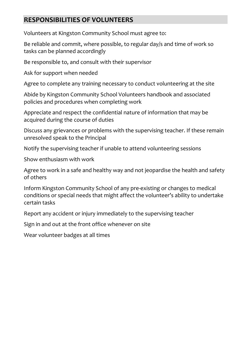#### **RESPONSIBILITIES OF VOLUNTEERS**

Volunteers at Kingston Community School must agree to:

Be reliable and commit, where possible, to regular day/s and time of work so tasks can be planned accordingly

Be responsible to, and consult with their supervisor

Ask for support when needed

Agree to complete any training necessary to conduct volunteering at the site

Abide by Kingston Community School Volunteers handbook and associated policies and procedures when completing work

Appreciate and respect the confidential nature of information that may be acquired during the course of duties

Discuss any grievances or problems with the supervising teacher. If these remain unresolved speak to the Principal

Notify the supervising teacher if unable to attend volunteering sessions

Show enthusiasm with work

Agree to work in a safe and healthy way and not jeopardise the health and safety of others

Inform Kingston Community School of any pre-existing or changes to medical conditions or special needs that might affect the volunteer's ability to undertake certain tasks

Report any accident or injury immediately to the supervising teacher

Sign in and out at the front office whenever on site

Wear volunteer badges at all times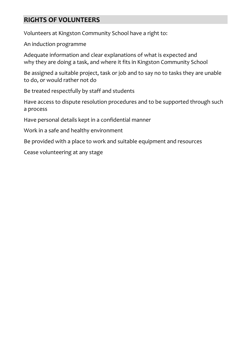#### **RIGHTS OF VOLUNTEERS**

Volunteers at Kingston Community School have a right to:

An induction programme

Adequate information and clear explanations of what is expected and why they are doing a task, and where it fits in Kingston Community School

Be assigned a suitable project, task or job and to say no to tasks they are unable to do, or would rather not do

Be treated respectfully by staff and students

Have access to dispute resolution procedures and to be supported through such a process

Have personal details kept in a confidential manner

Work in a safe and healthy environment

Be provided with a place to work and suitable equipment and resources

Cease volunteering at any stage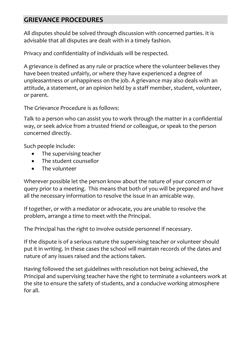#### **GRIEVANCE PROCEDURES**

All disputes should be solved through discussion with concerned parties. It is advisable that all disputes are dealt with in a timely fashion.

Privacy and confidentiality of individuals will be respected.

A grievance is defined as any rule or practice where the volunteer believes they have been treated unfairly, or where they have experienced a degree of unpleasantness or unhappiness on the job. A grievance may also deals with an attitude, a statement, or an opinion held by a staff member, student, volunteer, or parent.

The Grievance Procedure is as follows:

Talk to a person who can assist you to work through the matter in a confidential way, or seek advice from a trusted friend or colleague, or speak to the person concerned directly.

Such people include:

- The supervising teacher
- The student counsellor
- The volunteer

Wherever possible let the person know about the nature of your concern or query prior to a meeting. This means that both of you will be prepared and have all the necessary information to resolve the issue in an amicable way.

If together, or with a mediator or advocate, you are unable to resolve the problem, arrange a time to meet with the Principal.

The Principal has the right to involve outside personnel if necessary.

If the dispute is of a serious nature the supervising teacher or volunteer should put it in writing. In these cases the school will maintain records of the dates and nature of any issues raised and the actions taken.

Having followed the set guidelines with resolution not being achieved, the Principal and supervising teacher have the right to terminate a volunteers work at the site to ensure the safety of students, and a conducive working atmosphere for all.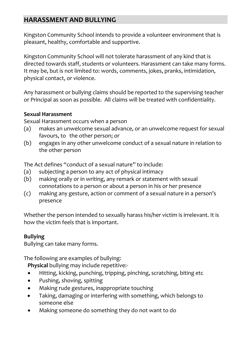## **HARASSMENT AND BULLYING**

Kingston Community School intends to provide a volunteer environment that is pleasant, healthy, comfortable and supportive.

Kingston Community School will not tolerate harassment of any kind that is directed towards staff, students or volunteers. Harassment can take many forms. It may be, but is not limited to: words, comments, jokes, pranks, intimidation, physical contact, or violence.

Any harassment or bullying claims should be reported to the supervising teacher or Principal as soon as possible. All claims will be treated with confidentiality.

#### **Sexual Harassment**

Sexual Harassment occurs when a person

- (a) makes an unwelcome sexual advance, or an unwelcome request for sexual favours, to the other person; or
- (b) engages in any other unwelcome conduct of a sexual nature in relation to the other person

The Act defines "conduct of a sexual nature" to include:

- (a) subjecting a person to any act of physical intimacy
- (b) making orally or in writing, any remark or statement with sexual connotations to a person or about a person in his or her presence
- (c) making any gesture, action or comment of a sexual nature in a person's presence

Whether the person intended to sexually harass his/her victim is irrelevant. It is how the victim feels that is important.

#### **Bullying**

Bullying can take many forms.

The following are examples of bullying:

**Physical** bullying may include repetitive:-

- Hitting, kicking, punching, tripping, pinching, scratching, biting etc
- Pushing, shoving, spitting
- Making rude gestures, inappropriate touching
- Taking, damaging or interfering with something, which belongs to someone else
- Making someone do something they do not want to do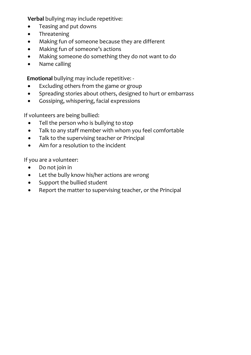**Verbal** bullying may include repetitive:

- Teasing and put downs
- Threatening
- Making fun of someone because they are different
- Making fun of someone's actions
- Making someone do something they do not want to do
- Name calling

**Emotional** bullying may include repetitive: -

- Excluding others from the game or group
- Spreading stories about others, designed to hurt or embarrass
- Gossiping, whispering, facial expressions

If volunteers are being bullied:

- Tell the person who is bullying to stop
- Talk to any staff member with whom you feel comfortable
- Talk to the supervising teacher or Principal
- Aim for a resolution to the incident

If you are a volunteer:

- Do not join in
- Let the bully know his/her actions are wrong
- Support the bullied student
- Report the matter to supervising teacher, or the Principal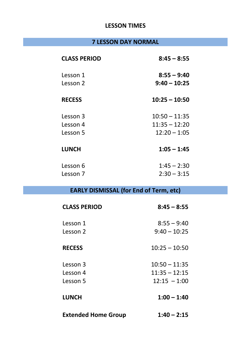#### **LESSON TIMES**

## **7 LESSON DAY NORMAL**

| <b>CLASS PERIOD</b> | $8:45 - 8:55$   |
|---------------------|-----------------|
| Lesson 1            | $8:55 - 9:40$   |
| Lesson 2            | $9:40 - 10:25$  |
| <b>RECESS</b>       | $10:25 - 10:50$ |
| Lesson 3            | $10:50 - 11:35$ |
| Lesson 4            | $11:35 - 12:20$ |
| Lesson 5            | $12:20 - 1:05$  |
| <b>LUNCH</b>        | $1:05 - 1:45$   |
| Lesson 6            | $1:45 - 2:30$   |
| Lesson 7            | $2:30 - 3:15$   |

## **EARLY DISMISSAL (for End of Term, etc)**

| <b>CLASS PERIOD</b>        | $8:45 - 8:55$   |
|----------------------------|-----------------|
| Lesson 1                   | $8:55 - 9:40$   |
| Lesson 2                   | $9:40 - 10:25$  |
| <b>RECESS</b>              | $10:25 - 10:50$ |
| Lesson 3                   | $10:50 - 11:35$ |
| Lesson 4                   | $11:35 - 12:15$ |
| Lesson 5                   | $12:15 - 1:00$  |
| <b>LUNCH</b>               | $1:00 - 1:40$   |
| <b>Extended Home Group</b> | $1:40 - 2:15$   |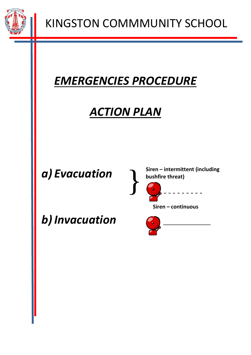

## *EMERGENCIES PROCEDURE*

## *ACTION PLAN*

## *a) Evacuation*

*b) Invacuation*

**Siren – intermittent (including bushfire threat)**



**Siren – continuous**

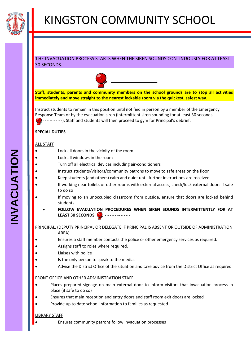

#### THE INVACUATION PROCESS STARTS WHEN THE SIREN SOUNDS CONTINUOUSLY FOR AT LEAST 30 SECONDS.



**Staff, students, parents and community members on the school grounds are to stop all activities immediately and move straight to the nearest lockable room via the quickest, safest way.**

Instruct students to remain in this position until notified in person by a member of the Emergency Response Team or by the evacuation siren (intermittent siren sounding for at least 30 seconds -- - - - - ). Staff and students will then proceed to gym for Principal's debrief.

#### **SPECIAL DUTIES**

#### ALL STAFF

- Lock all doors in the vicinity of the room.
- Lock all windows in the room
- Turn off all electrical devices including air-conditioners
- Instruct students/visitors/community patrons to move to safe areas on the floor
- Keep students (and others) calm and quiet until further instructions are received
- If working near toilets or other rooms with external access, check/lock external doors if safe to do so
- If moving to an unoccupied classroom from outside, ensure that doors are locked behind students
	- **FOLLOW EVACUATION PROCEDURES WHEN SIREN SOUNDS INTERMITTENTLY FOR AT LEAST 30 SECONDS**

#### PRINCIPAL, (DEPUTY PRINCIPAL OR DELEGATE IF PRINCIPAL IS ABSENT OR OUTSIDE OF ADMINISTRATION

#### AREA)

- Ensures a staff member contacts the police or other emergency services as required.
- Assigns staff to roles where required.
- Liaises with police
- Is the only person to speak to the media.
- Advise the District Office of the situation and take advice from the District Office as required

#### FRONT OFFICE AND OTHER ADMINISTRATION STAFF

- Places prepared signage on main external door to inform visitors that invacuation process in place (if safe to do so)
- Ensures that main reception and entry doors and staff room exit doors are locked
- Provide up to date school information to families as requested

#### LIBRARY STAFF

Ensures community patrons follow invacuation processes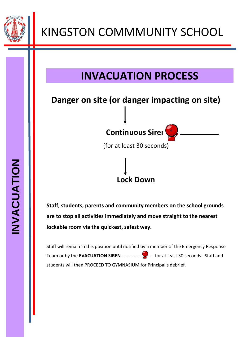

## **INVACUATION PROCESS**

## **Danger on site (or danger impacting on site)**

**Continuous Siren** 

(for at least 30 seconds)

**Lock Down**

**Staff, students, parents and community members on the school grounds are to stop all activities immediately and move straight to the nearest lockable room via the quickest, safest way.**

Staff will remain in this position until notified by a member of the Emergency Response Team or by the **EVACUATION SIREN --------------------** for at least 30 seconds. Staff and students will then PROCEED TO GYMNASIUM for Principal's debrief.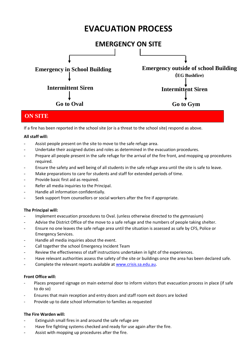## **EVACUATION PROCESS**



#### **ON SITE**

If a fire has been reported in the school site (or is a threat to the school site) respond as above.

#### **All staff will:**

- Assist people present on the site to move to the safe refuge area.
- Undertake their assigned duties and roles as determined in the evacuation procedures.
- Prepare all people present in the safe refuge for the arrival of the fire front, and mopping up procedures required.
- Ensure the safety and well being of all students in the safe refuge area until the site is safe to leave.
- Make preparations to care for students and staff for extended periods of time.
- Provide basic first aid as required.
- Refer all media inquiries to the Principal.
- Handle all information confidentially.
- Seek support from counsellors or social workers after the fire if appropriate.

#### **The Principal will:**

- Implement evacuation procedures to Oval. (unless otherwise directed to the gymnasium)
- Advise the District Office of the move to a safe refuge and the numbers of people taking shelter.
- Ensure no one leaves the safe refuge area until the situation is assessed as safe by CFS, Police or Emergency Services.
- Handle all media inquiries about the event.
- Call together the school Emergency Incident Team
- Review the effectiveness of staff instructions undertaken in light of the experiences.
- Have relevant authorities assess the safety of the site or buildings once the area has been declared safe.
- Complete the relevant reports available at [www.crisis.sa.edu.au.](http://www.crisis.sa.edu.au/)

#### **Front Office will:**

- Places prepared signage on main external door to inform visitors that evacuation process in place (if safe to do so)
- Ensures that main reception and entry doors and staff room exit doors are locked
- Provide up to date school information to families as requested

#### **The Fire Warden will:**

- Extinguish small fires in and around the safe refuge are
- Have fire fighting systems checked and ready for use again after the fire.
- Assist with mopping up procedures after the fire.